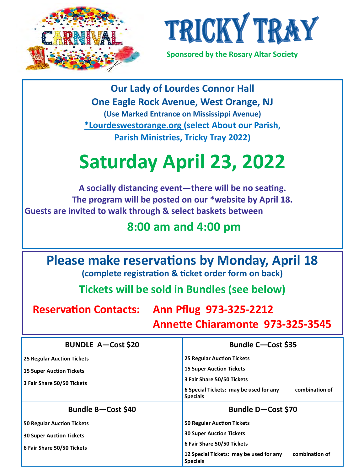



 **Sponsored by the Rosary Altar Society**

**Our Lady of Lourdes Connor Hall One Eagle Rock Avenue, West Orange, NJ (Use Marked Entrance on Mississippi Avenue) \*Lourdeswestorange.org (select About our Parish, Parish Ministries, Tricky Tray 2022)**

## **Saturday April 23, 2022**

**A socially distancing event—there will be no seating. The program will be posted on our \*website by April 18. Guests are invited to walk through & select baskets between**

## **8:00 am and 4:00 pm**

**Please make reservations by Monday, April 18**

**(complete registration & ticket order form on back)**

**Tickets will be sold in Bundles (see below)**

**Reservation Contacts: Ann Pflug 973-325-2212**

 **Annette Chiaramonte 973-325-3545**

| <b>BUNDLE A-Cost \$20</b>         | <b>Bundle C-Cost \$35</b>                                                   |  |
|-----------------------------------|-----------------------------------------------------------------------------|--|
| <b>25 Regular Auction Tickets</b> | <b>25 Regular Auction Tickets</b>                                           |  |
| <b>15 Super Auction Tickets</b>   | <b>15 Super Auction Tickets</b>                                             |  |
| 3 Fair Share 50/50 Tickets        | 3 Fair Share 50/50 Tickets                                                  |  |
|                                   | 6 Special Tickets: may be used for any<br>combination of<br><b>Specials</b> |  |
|                                   | Bundle D-Cost \$70                                                          |  |
| Bundle B-Cost \$40                |                                                                             |  |
| <b>50 Regular Auction Tickets</b> | <b>50 Regular Auction Tickets</b>                                           |  |
| <b>30 Super Auction Tickets</b>   | <b>30 Super Auction Tickets</b>                                             |  |
| 6 Fair Share 50/50 Tickets        | 6 Fair Share 50/50 Tickets                                                  |  |